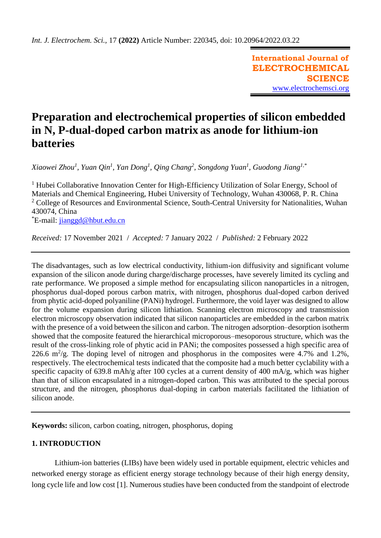**International Journal of ELECTROCHEMICAL SCIENCE** [www.electrochemsci.org](http://www.electrochemsci.org/)

# **Preparation and electrochemical properties of silicon embedded in N, P-dual-doped carbon matrix as anode for lithium-ion batteries**

*Xiaowei Zhou<sup>1</sup> , Yuan Qin<sup>1</sup> , Yan Dong<sup>1</sup> , Qing Chang<sup>2</sup> , Songdong Yuan<sup>1</sup> , Guodong Jiang1,\**

<sup>1</sup> Hubei Collaborative Innovation Center for High-Efficiency Utilization of Solar Energy, School of Materials and Chemical Engineering, Hubei University of Technology, Wuhan 430068, P. R. China  $2^2$  College of Resources and Environmental Science, South-Central University for Nationalities, Wuhan 430074, China

\*E-mail: [jianggd@hbut.edu.cn](mailto:jianggd@hbut.edu.cn)

*Received:* 17 November 2021/ *Accepted:* 7 January 2022 / *Published:* 2 February 2022

The disadvantages, such as low electrical conductivity, lithium-ion diffusivity and significant volume expansion of the silicon anode during charge/discharge processes, have severely limited its cycling and rate performance. We proposed a simple method for encapsulating silicon nanoparticles in a nitrogen, phosphorus dual-doped porous carbon matrix, with nitrogen, phosphorus dual-doped carbon derived from phytic acid-doped polyaniline (PANi) hydrogel. Furthermore, the void layer was designed to allow for the volume expansion during silicon lithiation. Scanning electron microscopy and transmission electron microscopy observation indicated that silicon nanoparticles are embedded in the carbon matrix with the presence of a void between the silicon and carbon. The nitrogen adsorption–desorption isotherm showed that the composite featured the hierarchical microporous–mesoporous structure, which was the result of the cross-linking role of phytic acid in PANi; the composites possessed a high specific area of 226.6  $\text{m}^2/\text{g}$ . The doping level of nitrogen and phosphorus in the composites were 4.7% and 1.2%, respectively. The electrochemical tests indicated that the composite had a much better cyclability with a specific capacity of 639.8 mAh/g after 100 cycles at a current density of 400 mA/g, which was higher than that of silicon encapsulated in a nitrogen-doped carbon. This was attributed to the special porous structure, and the nitrogen, phosphorus dual-doping in carbon materials facilitated the lithiation of silicon anode.

**Keywords:** silicon, carbon coating, nitrogen, phosphorus, doping

# **1. INTRODUCTION**

Lithium-ion batteries (LIBs) have been widely used in portable equipment, electric vehicles and networked energy storage as efficient energy storage technology because of their high energy density, long cycle life and low cost [1]. Numerous studies have been conducted from the standpoint of electrode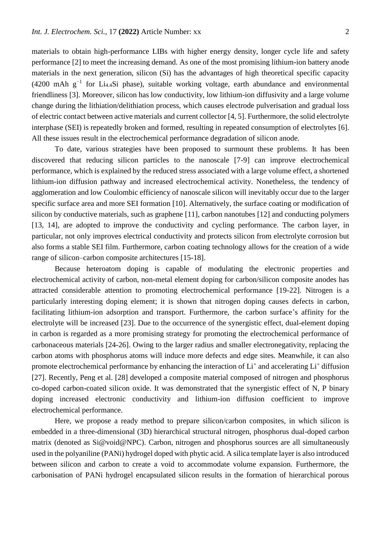materials to obtain high-performance LIBs with higher energy density, longer cycle life and safety performance [2] to meet the increasing demand. As one of the most promising lithium-ion battery anode materials in the next generation, silicon (Si) has the advantages of high theoretical specific capacity (4200 mAh  $g^{-1}$  for Li<sub>4.4</sub>Si phase), suitable working voltage, earth abundance and environmental friendliness [3]. Moreover, silicon has low conductivity, low lithium-ion diffusivity and a large volume change during the lithiation/delithiation process, which causes electrode pulverisation and gradual loss of electric contact between active materials and current collector [4, 5]. Furthermore, the solid electrolyte interphase (SEI) is repeatedly broken and formed, resulting in repeated consumption of electrolytes [6]. All these issues result in the electrochemical performance degradation of silicon anode.

To date, various strategies have been proposed to surmount these problems. It has been discovered that reducing silicon particles to the nanoscale [7-9] can improve electrochemical performance, which is explained by the reduced stress associated with a large volume effect, a shortened lithium-ion diffusion pathway and increased electrochemical activity. Nonetheless, the tendency of agglomeration and low Coulombic efficiency of nanoscale silicon will inevitably occur due to the larger specific surface area and more SEI formation [10]. Alternatively, the surface coating or modification of silicon by conductive materials, such as graphene [11], carbon nanotubes [12] and conducting polymers [13, 14], are adopted to improve the conductivity and cycling performance. The carbon layer, in particular, not only improves electrical conductivity and protects silicon from electrolyte corrosion but also forms a stable SEI film. Furthermore, carbon coating technology allows for the creation of a wide range of silicon–carbon composite architectures [15-18].

Because heteroatom doping is capable of modulating the electronic properties and electrochemical activity of carbon, non-metal element doping for carbon/silicon composite anodes has attracted considerable attention to promoting electrochemical performance [19-22]. Nitrogen is a particularly interesting doping element; it is shown that nitrogen doping causes defects in carbon, facilitating lithium-ion adsorption and transport. Furthermore, the carbon surface's affinity for the electrolyte will be increased [23]. Due to the occurrence of the synergistic effect, dual-element doping in carbon is regarded as a more promising strategy for promoting the electrochemical performance of carbonaceous materials [24-26]. Owing to the larger radius and smaller electronegativity, replacing the carbon atoms with phosphorus atoms will induce more defects and edge sites. Meanwhile, it can also promote electrochemical performance by enhancing the interaction of Li<sup>+</sup> and accelerating Li<sup>+</sup> diffusion [27]. Recently, Peng et al. [28] developed a composite material composed of nitrogen and phosphorus co-doped carbon-coated silicon oxide. It was demonstrated that the synergistic effect of N, P binary doping increased electronic conductivity and lithium-ion diffusion coefficient to improve electrochemical performance.

Here, we propose a ready method to prepare silicon/carbon composites, in which silicon is embedded in a three-dimensional (3D) hierarchical structural nitrogen, phosphorus dual-doped carbon matrix (denoted as Si@void@NPC). Carbon, nitrogen and phosphorus sources are all simultaneously used in the polyaniline (PANi) hydrogel doped with phytic acid. A silica template layer is also introduced between silicon and carbon to create a void to accommodate volume expansion. Furthermore, the carbonisation of PANi hydrogel encapsulated silicon results in the formation of hierarchical porous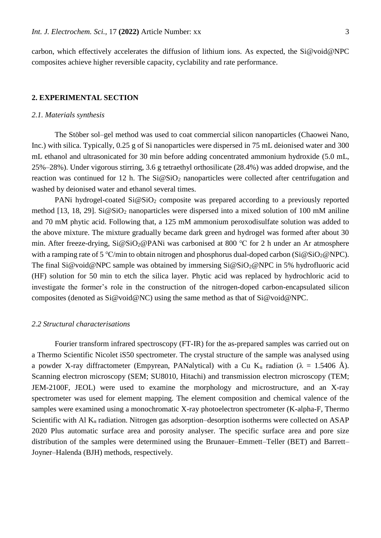carbon, which effectively accelerates the diffusion of lithium ions. As expected, the Si@void@NPC composites achieve higher reversible capacity, cyclability and rate performance.

#### **2. EXPERIMENTAL SECTION**

# *2.1. Materials synthesis*

The Stöber sol–gel method was used to coat commercial silicon nanoparticles (Chaowei Nano, Inc.) with silica. Typically, 0.25 g of Si nanoparticles were dispersed in 75 mL deionised water and 300 mL ethanol and ultrasonicated for 30 min before adding concentrated ammonium hydroxide (5.0 mL, 25%–28%). Under vigorous stirring, 3.6 g tetraethyl orthosilicate (28.4%) was added dropwise, and the reaction was continued for 12 h. The  $Si@SiO_2$  nanoparticles were collected after centrifugation and washed by deionised water and ethanol several times.

PANi hydrogel-coated  $Si@SiO<sub>2</sub>$  composite was prepared according to a previously reported method [13, 18, 29]. Si $\mathcal{Q}$ SiO<sub>2</sub> nanoparticles were dispersed into a mixed solution of 100 mM aniline and 70 mM phytic acid. Following that, a 125 mM ammonium peroxodisulfate solution was added to the above mixture. The mixture gradually became dark green and hydrogel was formed after about 30 min. After freeze-drying, Si@SiO2@PANi was carbonised at 800 ℃ for 2 h under an Ar atmosphere with a ramping rate of 5 °C/min to obtain nitrogen and phosphorus dual-doped carbon ( $Si@SiO_2@NPC$ ). The final  $Si@void@NPC$  sample was obtained by immersing  $Si@SiO_2@NPC$  in 5% hydrofluoric acid (HF) solution for 50 min to etch the silica layer. Phytic acid was replaced by hydrochloric acid to investigate the former's role in the construction of the nitrogen-doped carbon-encapsulated silicon composites (denoted as Si@void@NC) using the same method as that of Si@void@NPC.

# *2.2 Structural characterisations*

Fourier transform infrared spectroscopy (FT-IR) for the as-prepared samples was carried out on a Thermo Scientific Nicolet iS50 spectrometer. The crystal structure of the sample was analysed using a powder X-ray diffractometer (Empyrean, PANalytical) with a Cu K<sub>α</sub> radiation ( $\lambda = 1.5406$  Å). Scanning electron microscopy (SEM; SU8010, Hitachi) and transmission electron microscopy (TEM; JEM-2100F, JEOL) were used to examine the morphology and microstructure, and an X-ray spectrometer was used for element mapping. The element composition and chemical valence of the samples were examined using a monochromatic X-ray photoelectron spectrometer (K-alpha-F, Thermo Scientific with Al  $K_{\alpha}$  radiation. Nitrogen gas adsorption–desorption isotherms were collected on ASAP 2020 Plus automatic surface area and porosity analyser. The specific surface area and pore size distribution of the samples were determined using the Brunauer–Emmett–Teller (BET) and Barrett– Joyner–Halenda (BJH) methods, respectively.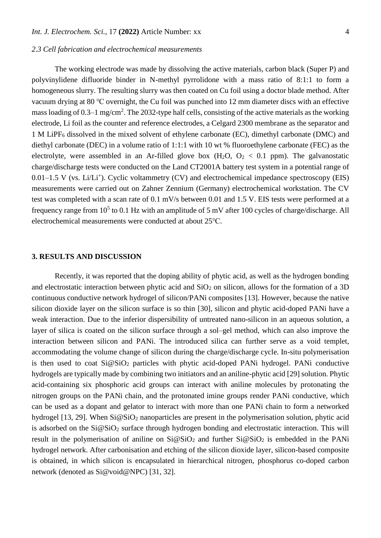# *2.3 Cell fabrication and electrochemical measurements*

polyvinylidene difluoride binder in N-methyl pyrrolidone with a mass ratio of 8:1:1 to form a homogeneous slurry. The resulting slurry was then coated on Cu foil using a doctor blade method. After vacuum drying at 80 ℃ overnight, the Cu foil was punched into 12 mm diameter discs with an effective mass loading of 0.3–1 mg/cm<sup>2</sup>. The 2032-type half cells, consisting of the active materials as the working electrode, Li foil as the counter and reference electrodes, a Celgard 2300 membrane as the separator and 1 M LiPF<sub>6</sub> dissolved in the mixed solvent of ethylene carbonate (EC), dimethyl carbonate (DMC) and diethyl carbonate (DEC) in a volume ratio of 1:1:1 with 10 wt % fluoroethylene carbonate (FEC) as the electrolyte, were assembled in an Ar-filled glove box  $(H_2O, O_2 < 0.1$  ppm). The galvanostatic charge/discharge tests were conducted on the Land CT2001A battery test system in a potential range of 0.01–1.5 V (vs. Li/Li<sup>+</sup>). Cyclic voltammetry (CV) and electrochemical impedance spectroscopy (EIS) measurements were carried out on Zahner Zennium (Germany) electrochemical workstation. The CV test was completed with a scan rate of 0.1 mV/s between 0.01 and 1.5 V. EIS tests were performed at a frequency range from  $10^5$  to 0.1 Hz with an amplitude of 5 mV after 100 cycles of charge/discharge. All electrochemical measurements were conducted at about 25℃.

# **3. RESULTS AND DISCUSSION**

Recently, it was reported that the doping ability of phytic acid, as well as the hydrogen bonding and electrostatic interaction between phytic acid and  $SiO<sub>2</sub>$  on silicon, allows for the formation of a 3D continuous conductive network hydrogel of silicon/PANi composites [13]. However, because the native silicon dioxide layer on the silicon surface is so thin [30], silicon and phytic acid-doped PANi have a weak interaction. Due to the inferior dispersibility of untreated nano-silicon in an aqueous solution, a layer of silica is coated on the silicon surface through a sol–gel method, which can also improve the interaction between silicon and PANi. The introduced silica can further serve as a void templet, accommodating the volume change of silicon during the charge/discharge cycle. In-situ polymerisation is then used to coat  $Si@SiO_2$  particles with phytic acid-doped PANi hydrogel. PANi conductive hydrogels are typically made by combining two initiators and an aniline-phytic acid [29] solution. Phytic acid-containing six phosphoric acid groups can interact with aniline molecules by protonating the nitrogen groups on the PANi chain, and the protonated imine groups render PANi conductive, which can be used as a dopant and gelator to interact with more than one PANi chain to form a networked hydrogel [13, 29]. When  $Si@SiO<sub>2</sub>$  nanoparticles are present in the polymerisation solution, phytic acid is adsorbed on the  $Si@SiO<sub>2</sub>$  surface through hydrogen bonding and electrostatic interaction. This will result in the polymerisation of aniline on  $Si@SiO_2$  and further  $Si@SiO_2$  is embedded in the PANi hydrogel network. After carbonisation and etching of the silicon dioxide layer, silicon-based composite is obtained, in which silicon is encapsulated in hierarchical nitrogen, phosphorus co-doped carbon network (denoted as Si@void@NPC) [31, 32].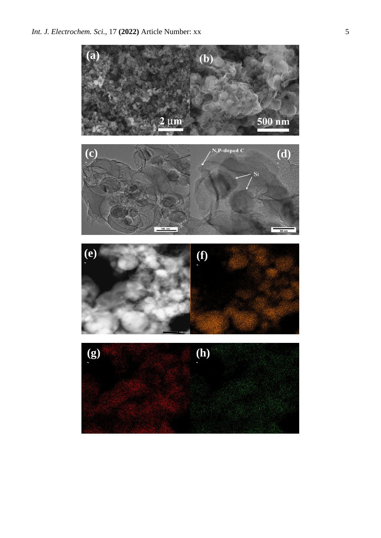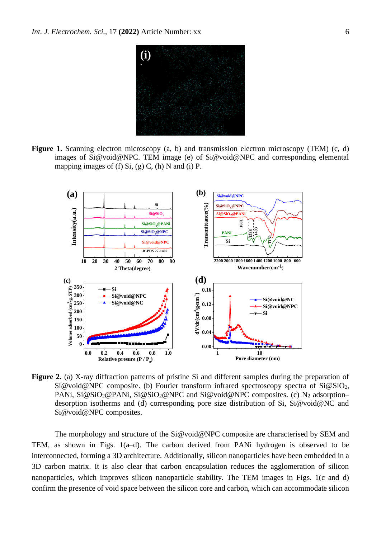

**Figure 1.** Scanning electron microscopy (a, b) and transmission electron microscopy (TEM) (c, d) images of Si@void@NPC. TEM image (e) of Si@void@NPC and corresponding elemental mapping images of (f) Si, (g) C, (h) N and (i) P.



**Figure 2.** (a) X-ray diffraction patterns of pristine Si and different samples during the preparation of  $Si@void@NPC$  composite. (b) Fourier transform infrared spectroscopy spectra of  $Si@SiO<sub>2</sub>$ , PANi, Si@SiO<sub>2</sub>@PANi, Si@SiO<sub>2</sub>@NPC and Si@void@NPC composites. (c) N<sub>2</sub> adsorption– desorption isotherms and (d) corresponding pore size distribution of Si, Si@void@NC and Si@void@NPC composites.

The morphology and structure of the Si@void@NPC composite are characterised by SEM and TEM, as shown in Figs. 1(a–d). The carbon derived from PANi hydrogen is observed to be interconnected, forming a 3D architecture. Additionally, silicon nanoparticles have been embedded in a 3D carbon matrix. It is also clear that carbon encapsulation reduces the agglomeration of silicon nanoparticles, which improves silicon nanoparticle stability. The TEM images in Figs. 1(c and d) confirm the presence of void space between the silicon core and carbon, which can accommodate silicon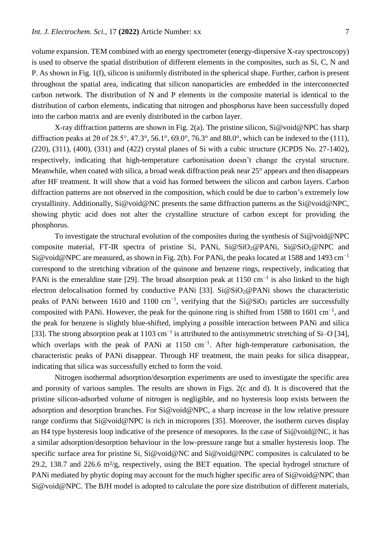volume expansion. TEM combined with an energy spectrometer (energy-dispersive X-ray spectroscopy) is used to observe the spatial distribution of different elements in the composites, such as Si, C, N and P. As shown in Fig. 1(f), silicon is uniformly distributed in the spherical shape. Further, carbon is present throughout the spatial area, indicating that silicon nanoparticles are embedded in the interconnected carbon network. The distribution of N and P elements in the composite material is identical to the distribution of carbon elements, indicating that nitrogen and phosphorus have been successfully doped into the carbon matrix and are evenly distributed in the carbon layer.

X-ray diffraction patterns are shown in Fig. 2(a). The pristine silicon, Si@void@NPC has sharp diffraction peaks at 2 $\theta$  of 28.5°, 47.3°, 56.1°, 69.0°, 76.3° and 88.0°, which can be indexed to the (111), (220), (311), (400), (331) and (422) crystal planes of Si with a cubic structure (JCPDS No. 27-1402), respectively, indicating that high-temperature carbonisation doesn't change the crystal structure. Meanwhile, when coated with silica, a broad weak diffraction peak near 25° appears and then disappears after HF treatment. It will show that a void has formed between the silicon and carbon layers. Carbon diffraction patterns are not observed in the composition, which could be due to carbon's extremely low crystallinity. Additionally, Si@void@NC presents the same diffraction patterns as the Si@void@NPC, showing phytic acid does not alter the crystalline structure of carbon except for providing the phosphorus.

To investigate the structural evolution of the composites during the synthesis of Si@void@NPC composite material, FT-IR spectra of pristine Si, PANi, Si@SiO<sub>2</sub>@PANi, Si@SiO<sub>2</sub>@NPC and Si@void@NPC are measured, as shown in Fig. 2(b). For PANi, the peaks located at 1588 and 1493 cm<sup>-1</sup> correspond to the stretching vibration of the quinone and benzene rings, respectively, indicating that PANi is the emeraldine state [29]. The broad absorption peak at 1150 cm<sup>-1</sup> is also linked to the high electron delocalisation formed by conductive PANi [33]. Si $\omega$ SiO<sub>2</sub> $\omega$ PANi shows the characteristic peaks of PANi between 1610 and 1100 cm<sup>-1</sup>, verifying that the Si@SiO<sub>2</sub> particles are successfully composited with PANi. However, the peak for the quinone ring is shifted from 1588 to 1601 cm<sup>-1</sup>, and the peak for benzene is slightly blue-shifted, implying a possible interaction between PANi and silica [33]. The strong absorption peak at  $1103 \text{ cm}^{-1}$  is attributed to the antisymmetric stretching of Si–O [34], which overlaps with the peak of PANi at  $1150 \text{ cm}^{-1}$ . After high-temperature carbonisation, the characteristic peaks of PANi disappear. Through HF treatment, the main peaks for silica disappear, indicating that silica was successfully etched to form the void.

Nitrogen isothermal adsorption/desorption experiments are used to investigate the specific area and porosity of various samples. The results are shown in Figs. 2(c and d). It is discovered that the pristine silicon-adsorbed volume of nitrogen is negligible, and no hysteresis loop exists between the adsorption and desorption branches. For Si@void@NPC, a sharp increase in the low relative pressure range confirms that  $Si@void@NPC$  is rich in micropores [35]. Moreover, the isotherm curves display an H4 type hysteresis loop indicative of the presence of mesopores. In the case of Si@void@NC, it has a similar adsorption/desorption behaviour in the low-pressure range but a smaller hysteresis loop. The specific surface area for pristine Si, Si@void@NC and Si@void@NPC composites is calculated to be 29.2, 138.7 and 226.6 m²/g, respectively, using the BET equation. The special hydrogel structure of PANi mediated by phytic doping may account for the much higher specific area of Si@void@NPC than Si@void@NPC. The BJH model is adopted to calculate the pore size distribution of different materials,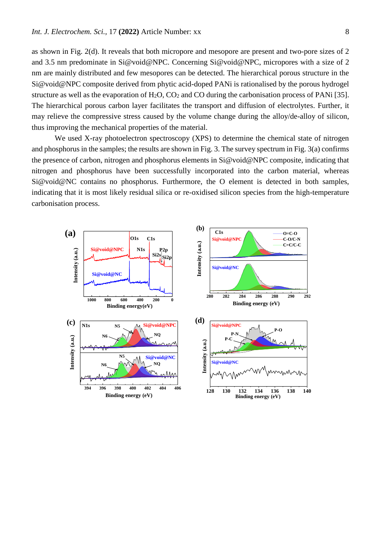as shown in Fig. 2(d). It reveals that both micropore and mesopore are present and two-pore sizes of 2 and 3.5 nm predominate in Si@void@NPC. Concerning Si@void@NPC, micropores with a size of 2 nm are mainly distributed and few mesopores can be detected. The hierarchical porous structure in the Si@void@NPC composite derived from phytic acid-doped PANi is rationalised by the porous hydrogel structure as well as the evaporation of  $H_2O$ ,  $CO_2$  and  $CO$  during the carbonisation process of PANi [35]. The hierarchical porous carbon layer facilitates the transport and diffusion of electrolytes. Further, it may relieve the compressive stress caused by the volume change during the alloy/de-alloy of silicon, thus improving the mechanical properties of the material.

We used X-ray photoelectron spectroscopy (XPS) to determine the chemical state of nitrogen and phosphorus in the samples; the results are shown in Fig. 3. The survey spectrum in Fig. 3(a) confirms the presence of carbon, nitrogen and phosphorus elements in Si@void@NPC composite, indicating that nitrogen and phosphorus have been successfully incorporated into the carbon material, whereas Si@void@NC contains no phosphorus. Furthermore, the O element is detected in both samples, indicating that it is most likely residual silica or re-oxidised silicon species from the high-temperature carbonisation process.

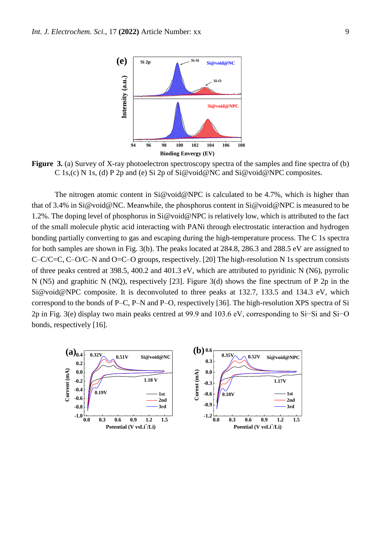

**Figure 3.** (a) Survey of X-ray photoelectron spectroscopy spectra of the samples and fine spectra of (b) C 1s,(c) N 1s, (d) P 2p and (e) Si 2p of Si@void@NC and Si@void@NPC composites.

The nitrogen atomic content in Si@void@NPC is calculated to be 4.7%, which is higher than that of 3.4% in Si@void@NC. Meanwhile, the phosphorus content in Si@void@NPC is measured to be 1.2%. The doping level of phosphorus in Si@void@NPC is relatively low, which is attributed to the fact of the small molecule phytic acid interacting with PANi through electrostatic interaction and hydrogen bonding partially converting to gas and escaping during the high-temperature process. The C 1s spectra for both samples are shown in Fig. 3(b). The peaks located at 284.8, 286.3 and 288.5 eV are assigned to C–C/C=C, C–O/C–N and O=C–O groups, respectively. [20] The high-resolution N 1s spectrum consists of three peaks centred at 398.5, 400.2 and 401.3 eV, which are attributed to pyridinic N (N6), pyrrolic N (N5) and graphitic N (NQ), respectively [23]. Figure 3(d) shows the fine spectrum of P 2p in the Si@void@NPC composite. It is deconvoluted to three peaks at 132.7, 133.5 and 134.3 eV, which correspond to the bonds of P–C, P–N and P–O, respectively [36]. The high-resolution XPS spectra of Si 2p in Fig. 3(e) display two main peaks centred at 99.9 and 103.6 eV, corresponding to Si−Si and Si−O bonds, respectively [16].

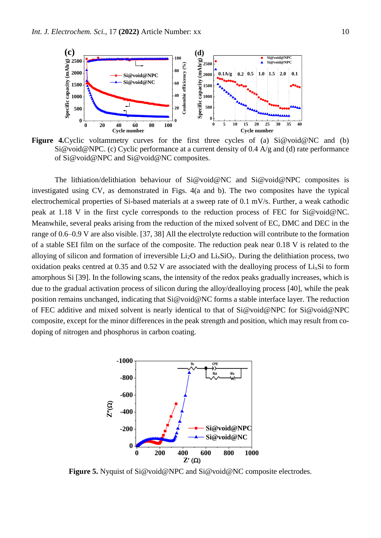

**Figure 4.**Cyclic voltammetry curves for the first three cycles of (a) Si@void@NC and (b) [Si@void@NPC. \(c\) Cyclic](mailto:Si@void@NC.Cyclic) performance at a current density of 0.4 A/g and (d) rate performance of Si@void@NPC and Si@void@NC composites.

The lithiation/delithiation behaviour of Si@void@NC and Si@void@NPC composites is investigated using CV, as demonstrated in Figs. 4(a and b). The two composites have the typical electrochemical properties of Si-based materials at a sweep rate of 0.1 mV/s. Further, a weak cathodic peak at 1.18 V in the first cycle corresponds to the reduction process of FEC for Si@void@NC. Meanwhile, several peaks arising from the reduction of the mixed solvent of EC, DMC and DEC in the range of 0.6–0.9 V are also visible. [37, 38] All the electrolyte reduction will contribute to the formation of a stable SEI film on the surface of the composite. The reduction peak near 0.18 V is related to the alloying of silicon and formation of irreversible  $Li_2O$  and  $Li<sub>x</sub>SiO<sub>y</sub>$ . During the delithiation process, two oxidation peaks centred at 0.35 and 0.52 V are associated with the dealloying process of  $Li<sub>x</sub>Si$  to form amorphous Si [39]. In the following scans, the intensity of the redox peaks gradually increases, which is due to the gradual activation process of silicon during the alloy/dealloying process [40], while the peak position remains unchanged, indicating that Si@void@NC forms a stable interface layer. The reduction of FEC additive and mixed solvent is nearly identical to that of Si@void@NPC for Si@void@NPC composite, except for the minor differences in the peak strength and position, which may result from codoping of nitrogen and phosphorus in carbon coating.



**Figure 5.** Nyquist of Si@void@NPC and Si@void@NC composite electrodes.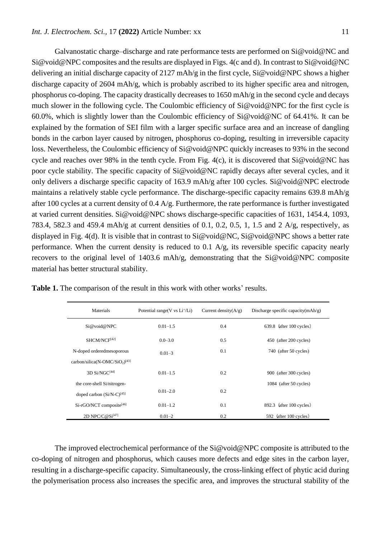Galvanostatic charge–discharge and rate performance tests are performed on Si@void@NC and Si@void@NPC composites and the results are displayed in Figs. 4(c and d). In contrast to Si@void@NC delivering an initial discharge capacity of 2127 mAh/g in the first cycle, Si@void@NPC shows a higher discharge capacity of 2604 mAh/g, which is probably ascribed to its higher specific area and nitrogen, phosphorus co-doping. The capacity drastically decreases to 1650 mAh/g in the second cycle and decays much slower in the following cycle. The Coulombic efficiency of Si@void@NPC for the first cycle is 60.0%, which is slightly lower than the Coulombic efficiency of Si@void@NC of 64.41%. It can be explained by the formation of SEI film with a larger specific surface area and an increase of dangling bonds in the carbon layer caused by nitrogen, phosphorus co-doping, resulting in irreversible capacity loss. Nevertheless, the Coulombic efficiency of Si@void@NPC quickly increases to 93% in the second cycle and reaches over 98% in the tenth cycle. From Fig. 4(c), it is discovered that Si@void@NC has poor cycle stability. The specific capacity of Si@void@NC rapidly decays after several cycles, and it only delivers a discharge specific capacity of 163.9 mAh/g after 100 cycles. Si@void@NPC electrode maintains a relatively stable cycle performance. The discharge-specific capacity remains 639.8 mAh/g after 100 cycles at a current density of 0.4 A/g. Furthermore, the rate performance is further investigated at varied current densities. Si@void@NPC shows discharge-specific capacities of 1631, 1454.4, 1093, 783.4, 582.3 and 459.4 mAh/g at current densities of 0.1, 0.2, 0.5, 1, 1.5 and 2 A/g, respectively, as displayed in Fig. 4(d). It is visible that in contrast to Si@void@NC, Si@void@NPC shows a better rate performance. When the current density is reduced to 0.1 A/g, its reversible specific capacity nearly recovers to the original level of 1403.6 mAh/g, demonstrating that the Si@void@NPC composite material has better structural stability.

| Materials                                              | Potential range(V vs $Li+/Li$ ) | Current density $(A/g)$ | Discharge specific capacity $(mAh/g)$ |
|--------------------------------------------------------|---------------------------------|-------------------------|---------------------------------------|
| Si@void@NPC                                            | $0.01 - 1.5$                    | 0.4                     | $639.8$ (after 100 cycles)            |
| SHCM/NCF[42]                                           | $0.0 - 3.0$                     | 0.5                     | 450 (after 200 cycles)                |
| N-doped ordered mesoporous                             | $0.01 - 3$                      | 0.1                     | 740 (after 50 cycles)                 |
| carbon/silica(N-OMC/SiO <sub>2</sub> ) <sup>[43]</sup> |                                 |                         |                                       |
| $3D$ Si/NGC <sup>[44]</sup>                            | $0.01 - 1.5$                    | 0.2                     | 900 (after 300 cycles)                |
| the core-shell Si/nitrogen-                            |                                 |                         | 1084 (after 50 cycles)                |
| doped carbon $(Si/N-C)^{[45]}$                         | $0.01 - 2.0$                    | 0.2                     |                                       |
| Si-rGO/NCT composite <sup>[46]</sup>                   | $0.01 - 1.2$                    | 0.1                     | 892.3 (after 100 cycles)              |
| 2D NPC/C@Si <sup>[47]</sup>                            | $0.01 - 2$                      | 0.2                     | 592 (after 100 cycles)                |

Table 1. The comparison of the result in this work with other works' results.

The improved electrochemical performance of the Si@void@NPC composite is attributed to the co-doping of nitrogen and phosphorus, which causes more defects and edge sites in the carbon layer, resulting in a discharge-specific capacity. Simultaneously, the cross-linking effect of phytic acid during the polymerisation process also increases the specific area, and improves the structural stability of the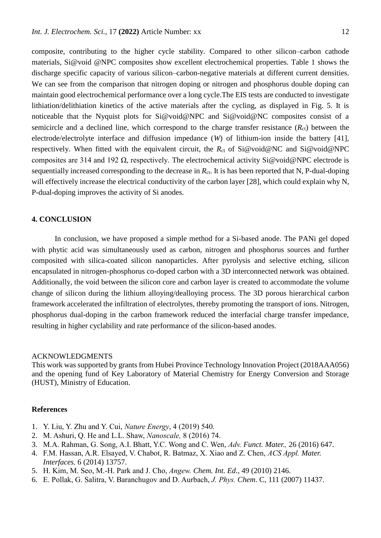composite, contributing to the higher cycle stability. Compared to other silicon–carbon cathode materials, Si@void @NPC composites show excellent electrochemical properties. Table 1 shows the discharge specific capacity of various silicon–carbon-negative materials at different current densities. We can see from the comparison that nitrogen doping or nitrogen and phosphorus double doping can maintain good electrochemical performance over a long cycle.The EIS tests are conducted to investigate lithiation/delithiation kinetics of the active materials after the cycling, as displayed in Fig. 5. It is noticeable that the Nyquist plots for Si@void@NPC and Si@void@NC composites consist of a semicircle and a declined line, which correspond to the charge transfer resistance (*R*ct) between the electrode/electrolyte interface and diffusion impedance (*W*) of lithium-ion inside the battery [41], respectively. When fitted with the equivalent circuit, the *R*ct of Si@void@NC and Si@void@NPC composites are 314 and 192 Ω, respectively. The electrochemical activity  $Si@$ void $@NPC$  electrode is sequentially increased corresponding to the decrease in  $R_{ct}$ . It is has been reported that N, P-dual-doping will effectively increase the electrical conductivity of the carbon layer [28], which could explain why N, P-dual-doping improves the activity of Si anodes.

# **4. CONCLUSION**

In conclusion, we have proposed a simple method for a Si-based anode. The PANi gel doped with phytic acid was simultaneously used as carbon, nitrogen and phosphorus sources and further composited with silica-coated silicon nanoparticles. After pyrolysis and selective etching, silicon encapsulated in nitrogen-phosphorus co-doped carbon with a 3D interconnected network was obtained. Additionally, the void between the silicon core and carbon layer is created to accommodate the volume change of silicon during the lithium alloying/dealloying process. The 3D porous hierarchical carbon framework accelerated the infiltration of electrolytes, thereby promoting the transport of ions. Nitrogen, phosphorus dual-doping in the carbon framework reduced the interfacial charge transfer impedance, resulting in higher cyclability and rate performance of the silicon-based anodes.

## ACKNOWLEDGMENTS

This work was supported by grants from Hubei Province Technology Innovation Project (2018AAA056) and the opening fund of Key Laboratory of Material Chemistry for Energy Conversion and Storage (HUST), Ministry of Education.

#### **References**

- 1. Y. Liu, Y. Zhu and Y. Cui, *Nature Energy*, 4 (2019) 540.
- 2. M. Ashuri, Q. He and L.L. Shaw, *Nanoscale,* 8 (2016) 74.
- 3. M.A. Rahman, G. Song, A.I. Bhatt, Y.C. Wong and C. Wen, *Adv. Funct. Mater.,* 26 (2016) 647.
- 4. F.M. Hassan, A.R. Elsayed, V. Chabot, R. Batmaz, X. Xiao and Z. Chen, *ACS Appl. Mater. Interfaces,* 6 (2014) 13757.
- 5. H. Kim, M. Seo, M.-H. Park and J. Cho, *Angew. Chem. Int. Ed*., 49 (2010) 2146.
- 6. E. Pollak, G. Salitra, V. Baranchugov and D. Aurbach, *J. Phys. Chem*. C, 111 (2007) 11437.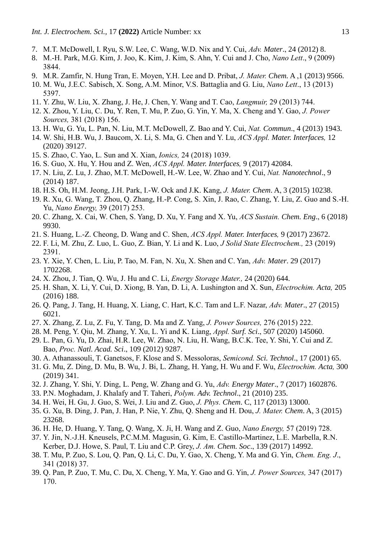- 7. M.T. McDowell, I. Ryu, S.W. Lee, C. Wang, W.D. Nix and Y. Cui, *Adv. Mater*., 24 (2012) 8.
- 8. M.-H. Park, M.G. Kim, J. Joo, K. Kim, J. Kim, S. Ahn, Y. Cui and J. Cho, *Nano Lett*., 9 (2009) 3844.
- 9. M.R. Zamfir, N. Hung Tran, E. Moyen, Y.H. Lee and D. Pribat, *J. Mater. Chem.* A ,1 (2013) 9566.
- 10. M. Wu, J.E.C. Sabisch, X. Song, A.M. Minor, V.S. Battaglia and G. Liu, *Nano Lett*., 13 (2013) 5397.
- 11. Y. Zhu, W. Liu, X. Zhang, J. He, J. Chen, Y. Wang and T. Cao, *Langmuir,* 29 (2013) 744.
- 12. X. Zhou, Y. Liu, C. Du, Y. Ren, T. Mu, P. Zuo, G. Yin, Y. Ma, X. Cheng and Y. Gao, *J. Power Sources,* 381 (2018) 156.
- 13. H. Wu, G. Yu, L. Pan, N. Liu, M.T. McDowell, Z. Bao and Y. Cui, *Nat. Commun*., 4 (2013) 1943.
- 14. W. Shi, H.B. Wu, J. Baucom, X. Li, S. Ma, G. Chen and Y. Lu, *ACS Appl. Mater. Interfaces,* 12 (2020) 39127.
- 15. S. Zhao, C. Yao, L. Sun and X. Xian, *Ionics,* 24 (2018) 1039.
- 16. S. Guo, X. Hu, Y. Hou and Z. Wen, *ACS Appl. Mater. Interfaces,* 9 (2017) 42084.
- 17. N. Liu, Z. Lu, J. Zhao, M.T. McDowell, H.-W. Lee, W. Zhao and Y. Cui, *Nat. Nanotechnol*., 9 (2014) 187.
- 18. H.S. Oh, H.M. Jeong, J.H. Park, I.-W. Ock and J.K. Kang, *J. Mater. Chem*. A, 3 (2015) 10238.
- 19. R. Xu, G. Wang, T. Zhou, Q. Zhang, H.-P. Cong, S. Xin, J. Rao, C. Zhang, Y. Liu, Z. Guo and S.-H. Yu, *Nano Energy,* 39 (2017) 253.
- 20. C. Zhang, X. Cai, W. Chen, S. Yang, D. Xu, Y. Fang and X. Yu, *ACS Sustain. Chem. Eng*., 6 (2018) 9930.
- 21. S. Huang, L.-Z. Cheong, D. Wang and C. Shen, *ACS Appl. Mater. Interfaces,* 9 (2017) 23672.
- 22. F. Li, M. Zhu, Z. Luo, L. Guo, Z. Bian, Y. Li and K. Luo, *J Solid State Electrochem.,* 23 (2019) 2391.
- 23. Y. Xie, Y. Chen, L. Liu, P. Tao, M. Fan, N. Xu, X. Shen and C. Yan, *Adv. Mater*. 29 (2017) 1702268.
- 24. X. Zhou, J. Tian, Q. Wu, J. Hu and C. Li, *Energy Storage Mater.,* 24 (2020) 644.
- 25. H. Shan, X. Li, Y. Cui, D. Xiong, B. Yan, D. Li, A. Lushington and X. Sun, *Electrochim. Acta,* 205 (2016) 188.
- 26. Q. Pang, J. Tang, H. Huang, X. Liang, C. Hart, K.C. Tam and L.F. Nazar, *Adv. Mater*., 27 (2015) 6021.
- 27. X. Zhang, Z. Lu, Z. Fu, Y. Tang, D. Ma and Z. Yang, *J. Power Sources,* 276 (2015) 222.
- 28. M. Peng, Y. Qiu, M. Zhang, Y. Xu, L. Yi and K. Liang, *Appl. Surf. Sci*., 507 (2020) 145060.
- 29. L. Pan, G. Yu, D. Zhai, H.R. Lee, W. Zhao, N. Liu, H. Wang, B.C.K. Tee, Y. Shi, Y. Cui and Z. Bao, *Proc. Natl. Acad. Sci*., 109 (2012) 9287.
- 30. A. Athanassouli, T. Ganetsos, F. Klose and S. Messoloras, *Semicond. Sci. Technol*., 17 (2001) 65.
- 31. G. Mu, Z. Ding, D. Mu, B. Wu, J. Bi, L. Zhang, H. Yang, H. Wu and F. Wu, *Electrochim. Acta,* 300 (2019) 341.
- 32. J. Zhang, Y. Shi, Y. Ding, L. Peng, W. Zhang and G. Yu, *Adv. Energy Mater*., 7 (2017) 1602876.
- 33. P.N. Moghadam, J. Khalafy and T. Taheri, *Polym. Adv. Technol*., 21 (2010) 235.
- 34. H. Wei, H. Gu, J. Guo, S. Wei, J. Liu and Z. Guo, *J. Phys. Chem*. C, 117 (2013) 13000.
- 35. G. Xu, B. Ding, J. Pan, J. Han, P. Nie, Y. Zhu, Q. Sheng and H. Dou, *J. Mater. Chem*. A, 3 (2015) 23268.
- 36. H. He, D. Huang, Y. Tang, Q. Wang, X. Ji, H. Wang and Z. Guo, *Nano Energy,* 57 (2019) 728.
- 37. Y. Jin, N.-J.H. Kneusels, P.C.M.M. Magusin, G. Kim, E. Castillo-Martinez, L.E. Marbella, R.N. Kerber, D.J. Howe, S. Paul, T. Liu and C.P. Grey, *J. Am. Chem. Soc*., 139 (2017) 14992.
- 38. T. Mu, P. Zuo, S. Lou, Q. Pan, Q. Li, C. Du, Y. Gao, X. Cheng, Y. Ma and G. Yin, *Chem. Eng. J*., 341 (2018) 37.
- 39. Q. Pan, P. Zuo, T. Mu, C. Du, X. Cheng, Y. Ma, Y. Gao and G. Yin, *J. Power Sources,* 347 (2017) 170.